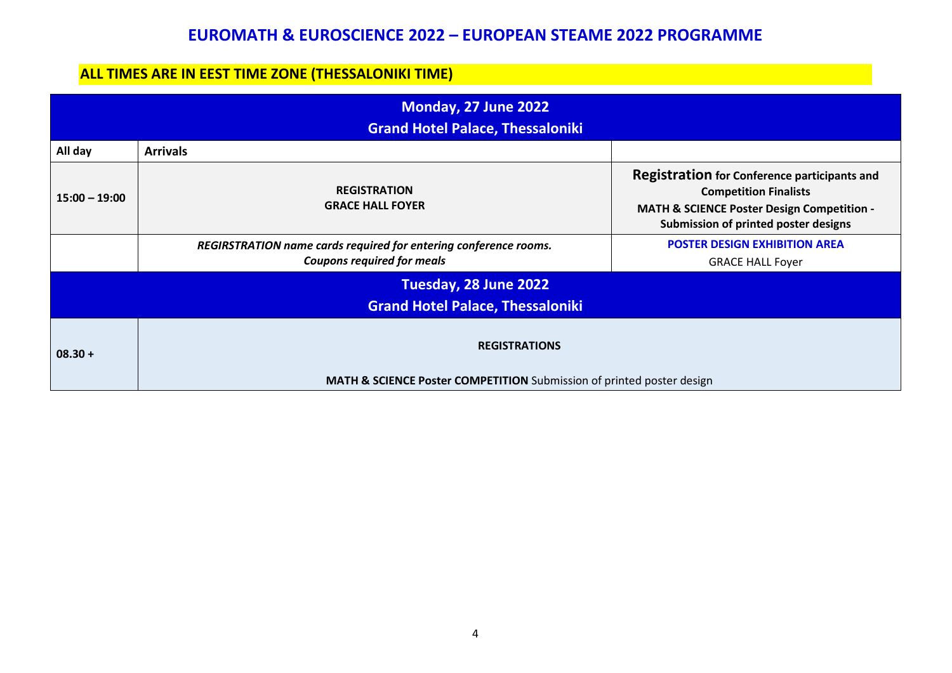# **ALL TIMES ARE IN EEST TIME ZONE (THESSALONIKI TIME)**

|                                                                  | Monday, 27 June 2022<br><b>Grand Hotel Palace, Thessaloniki</b>                                          |                                                                                                                                                                               |  |
|------------------------------------------------------------------|----------------------------------------------------------------------------------------------------------|-------------------------------------------------------------------------------------------------------------------------------------------------------------------------------|--|
| All day                                                          | <b>Arrivals</b>                                                                                          |                                                                                                                                                                               |  |
| $15:00 - 19:00$                                                  | <b>REGISTRATION</b><br><b>GRACE HALL FOYER</b>                                                           | Registration for Conference participants and<br><b>Competition Finalists</b><br><b>MATH &amp; SCIENCE Poster Design Competition -</b><br>Submission of printed poster designs |  |
|                                                                  | REGIRSTRATION name cards required for entering conference rooms.<br><b>Coupons required for meals</b>    | <b>POSTER DESIGN EXHIBITION AREA</b><br><b>GRACE HALL Foyer</b>                                                                                                               |  |
| Tuesday, 28 June 2022<br><b>Grand Hotel Palace, Thessaloniki</b> |                                                                                                          |                                                                                                                                                                               |  |
| $08.30 +$                                                        | <b>REGISTRATIONS</b><br><b>MATH &amp; SCIENCE Poster COMPETITION</b> Submission of printed poster design |                                                                                                                                                                               |  |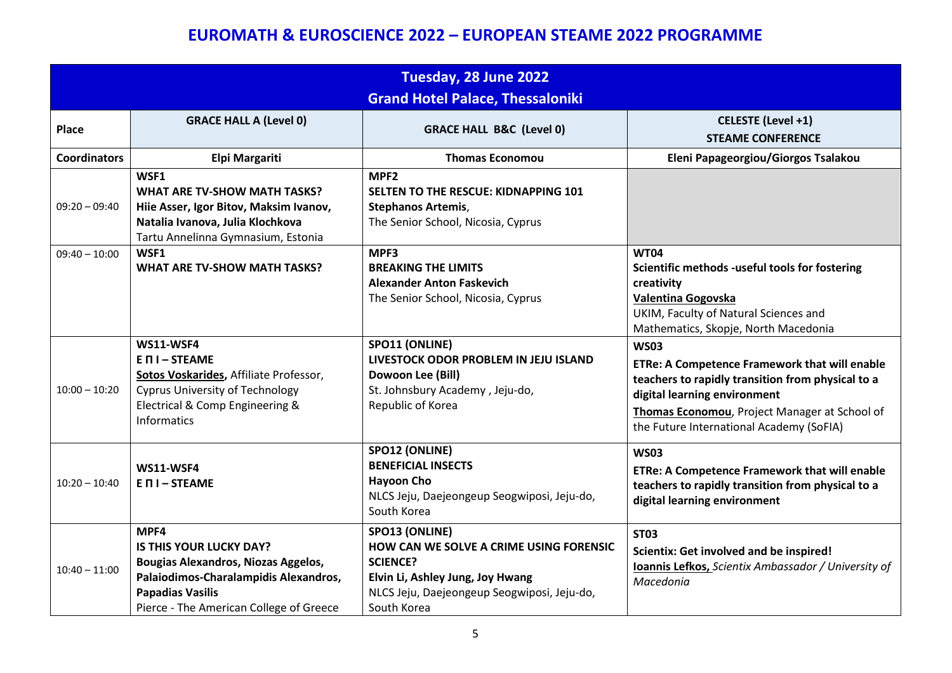|                     | Tuesday, 28 June 2022<br><b>Grand Hotel Palace, Thessaloniki</b>                                                                                                                             |                                                                                                                                                                                              |                                                                                                                                                                                                                                                |  |
|---------------------|----------------------------------------------------------------------------------------------------------------------------------------------------------------------------------------------|----------------------------------------------------------------------------------------------------------------------------------------------------------------------------------------------|------------------------------------------------------------------------------------------------------------------------------------------------------------------------------------------------------------------------------------------------|--|
| Place               | <b>GRACE HALL A (Level 0)</b>                                                                                                                                                                | <b>GRACE HALL B&amp;C (Level 0)</b>                                                                                                                                                          | <b>CELESTE (Level +1)</b><br><b>STEAME CONFERENCE</b>                                                                                                                                                                                          |  |
| <b>Coordinators</b> | Elpi Margariti                                                                                                                                                                               | <b>Thomas Economou</b>                                                                                                                                                                       | Eleni Papageorgiou/Giorgos Tsalakou                                                                                                                                                                                                            |  |
| $09:20 - 09:40$     | WSF1<br><b>WHAT ARE TV-SHOW MATH TASKS?</b><br>Hiie Asser, Igor Bitov, Maksim Ivanov,<br>Natalia Ivanova, Julia Klochkova<br>Tartu Annelinna Gymnasium, Estonia                              | MPF <sub>2</sub><br>SELTEN TO THE RESCUE: KIDNAPPING 101<br><b>Stephanos Artemis,</b><br>The Senior School, Nicosia, Cyprus                                                                  |                                                                                                                                                                                                                                                |  |
| $09:40 - 10:00$     | WSF1<br><b>WHAT ARE TV-SHOW MATH TASKS?</b>                                                                                                                                                  | MPF3<br><b>BREAKING THE LIMITS</b><br><b>Alexander Anton Faskevich</b><br>The Senior School, Nicosia, Cyprus                                                                                 | <b>WT04</b><br>Scientific methods -useful tools for fostering<br>creativity<br>Valentina Gogovska<br>UKIM, Faculty of Natural Sciences and<br>Mathematics, Skopje, North Macedonia                                                             |  |
| $10:00 - 10:20$     | <b>WS11-WSF4</b><br>E $\Pi$ I - STEAME<br>Sotos Voskarides, Affiliate Professor,<br><b>Cyprus University of Technology</b><br>Electrical & Comp Engineering &<br><b>Informatics</b>          | <b>SPO11 (ONLINE)</b><br>LIVESTOCK ODOR PROBLEM IN JEJU ISLAND<br>Dowoon Lee (Bill)<br>St. Johnsbury Academy, Jeju-do,<br>Republic of Korea                                                  | <b>WS03</b><br>ETRe: A Competence Framework that will enable<br>teachers to rapidly transition from physical to a<br>digital learning environment<br>Thomas Economou, Project Manager at School of<br>the Future International Academy (SoFIA) |  |
| $10:20 - 10:40$     | <b>WS11-WSF4</b><br>E N I - STEAME                                                                                                                                                           | <b>SPO12 (ONLINE)</b><br><b>BENEFICIAL INSECTS</b><br><b>Hayoon Cho</b><br>NLCS Jeju, Daejeongeup Seogwiposi, Jeju-do,<br>South Korea                                                        | <b>WS03</b><br><b>ETRe: A Competence Framework that will enable</b><br>teachers to rapidly transition from physical to a<br>digital learning environment                                                                                       |  |
| $10:40 - 11:00$     | MPF4<br><b>IS THIS YOUR LUCKY DAY?</b><br>Bougias Alexandros, Niozas Aggelos,<br>Palaiodimos-Charalampidis Alexandros,<br><b>Papadias Vasilis</b><br>Pierce - The American College of Greece | <b>SPO13 (ONLINE)</b><br><b>HOW CAN WE SOLVE A CRIME USING FORENSIC</b><br><b>SCIENCE?</b><br>Elvin Li, Ashley Jung, Joy Hwang<br>NLCS Jeju, Daejeongeup Seogwiposi, Jeju-do,<br>South Korea | <b>ST03</b><br>Scientix: Get involved and be inspired!<br>loannis Lefkos, Scientix Ambassador / University of<br>Macedonia                                                                                                                     |  |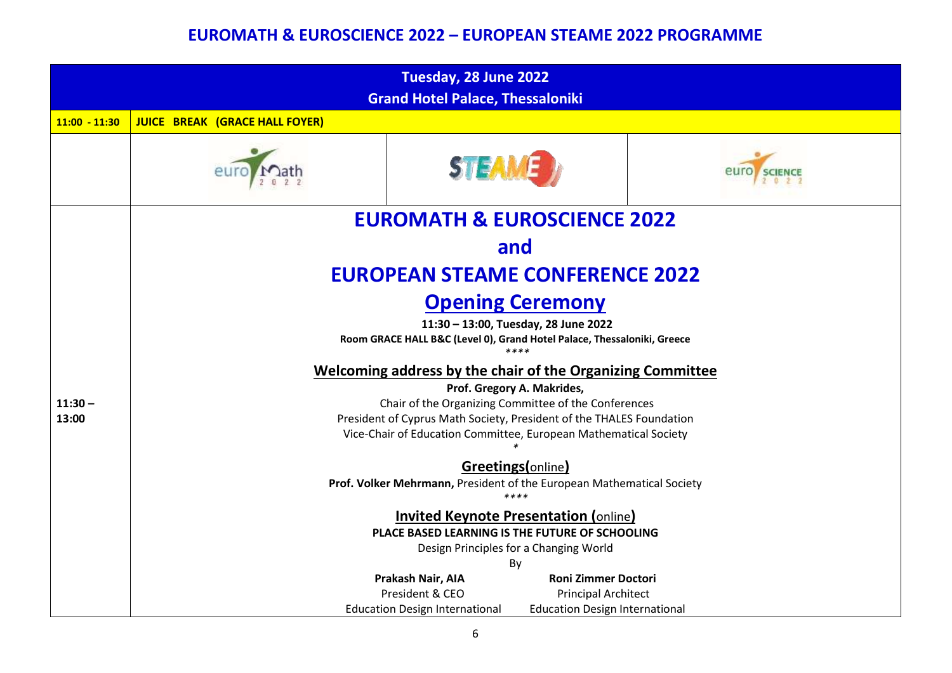| Tuesday, 28 June 2022<br><b>Grand Hotel Palace, Thessaloniki</b> |                                                                                                                         |                                                                                |  |
|------------------------------------------------------------------|-------------------------------------------------------------------------------------------------------------------------|--------------------------------------------------------------------------------|--|
| $11:00 - 11:30$                                                  | <b>JUICE BREAK (GRACE HALL FOYER)</b>                                                                                   |                                                                                |  |
|                                                                  |                                                                                                                         | <b>STEAMER</b>                                                                 |  |
|                                                                  |                                                                                                                         | <b>EUROMATH &amp; EUROSCIENCE 2022</b>                                         |  |
|                                                                  |                                                                                                                         | and                                                                            |  |
|                                                                  |                                                                                                                         | <b>EUROPEAN STEAME CONFERENCE 2022</b>                                         |  |
| <b>Opening Ceremony</b>                                          |                                                                                                                         |                                                                                |  |
|                                                                  | 11:30 - 13:00, Tuesday, 28 June 2022<br>Room GRACE HALL B&C (Level 0), Grand Hotel Palace, Thessaloniki, Greece<br>**** |                                                                                |  |
|                                                                  |                                                                                                                         |                                                                                |  |
|                                                                  | <b>Welcoming address by the chair of the Organizing Committee</b>                                                       |                                                                                |  |
|                                                                  | Prof. Gregory A. Makrides,<br>Chair of the Organizing Committee of the Conferences                                      |                                                                                |  |
| $11:30 -$<br>13:00                                               | President of Cyprus Math Society, President of the THALES Foundation                                                    |                                                                                |  |
|                                                                  | Vice-Chair of Education Committee, European Mathematical Society                                                        |                                                                                |  |
|                                                                  |                                                                                                                         |                                                                                |  |
|                                                                  | Greetings(online)                                                                                                       |                                                                                |  |
|                                                                  |                                                                                                                         | Prof. Volker Mehrmann, President of the European Mathematical Society          |  |
|                                                                  |                                                                                                                         | <b>Invited Keynote Presentation (online)</b>                                   |  |
|                                                                  |                                                                                                                         | PLACE BASED LEARNING IS THE FUTURE OF SCHOOLING                                |  |
|                                                                  |                                                                                                                         | Design Principles for a Changing World                                         |  |
|                                                                  |                                                                                                                         | By<br>Prakash Nair, AIA<br><b>Roni Zimmer Doctori</b>                          |  |
|                                                                  |                                                                                                                         | President & CEO<br><b>Principal Architect</b>                                  |  |
|                                                                  |                                                                                                                         | <b>Education Design International</b><br><b>Education Design International</b> |  |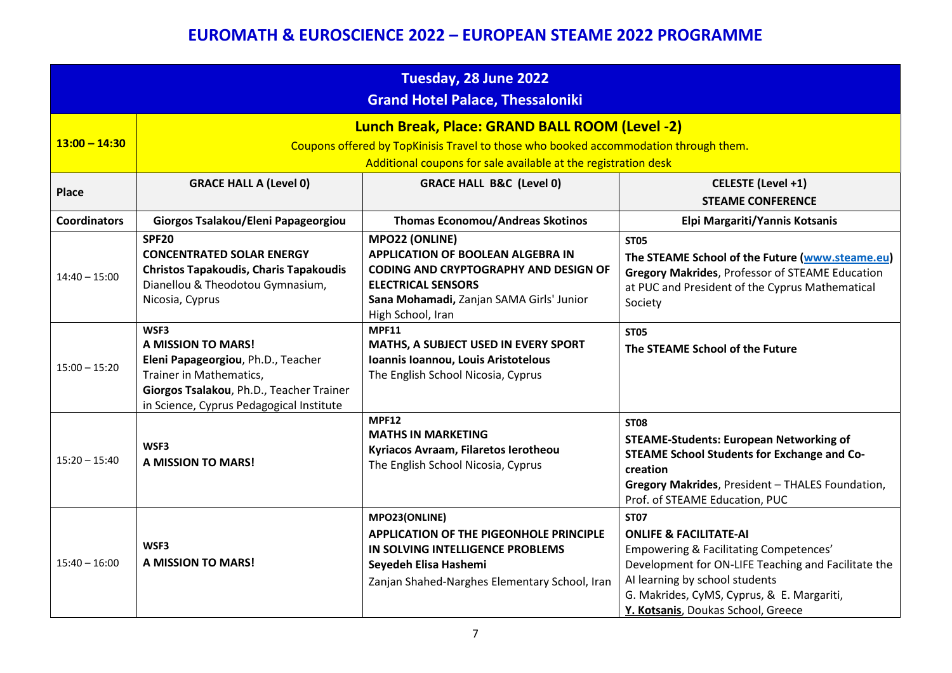| Tuesday, 28 June 2022<br><b>Grand Hotel Palace, Thessaloniki</b> |                                                                                                                                                                                     |                                                                                                                                                                                                                 |                                                                                                                                                                                                                                                                         |  |
|------------------------------------------------------------------|-------------------------------------------------------------------------------------------------------------------------------------------------------------------------------------|-----------------------------------------------------------------------------------------------------------------------------------------------------------------------------------------------------------------|-------------------------------------------------------------------------------------------------------------------------------------------------------------------------------------------------------------------------------------------------------------------------|--|
| $13:00 - 14:30$                                                  |                                                                                                                                                                                     | Lunch Break, Place: GRAND BALL ROOM (Level -2)<br>Coupons offered by TopKinisis Travel to those who booked accommodation through them.<br>Additional coupons for sale available at the registration desk        |                                                                                                                                                                                                                                                                         |  |
| Place                                                            | <b>GRACE HALL A (Level 0)</b>                                                                                                                                                       | <b>GRACE HALL B&amp;C (Level 0)</b>                                                                                                                                                                             | <b>CELESTE (Level +1)</b><br><b>STEAME CONFERENCE</b>                                                                                                                                                                                                                   |  |
| <b>Coordinators</b>                                              | Giorgos Tsalakou/Eleni Papageorgiou                                                                                                                                                 | <b>Thomas Economou/Andreas Skotinos</b>                                                                                                                                                                         | Elpi Margariti/Yannis Kotsanis                                                                                                                                                                                                                                          |  |
| $14:40 - 15:00$                                                  | <b>SPF20</b><br><b>CONCENTRATED SOLAR ENERGY</b><br><b>Christos Tapakoudis, Charis Tapakoudis</b><br>Dianellou & Theodotou Gymnasium,<br>Nicosia, Cyprus                            | <b>MPO22 (ONLINE)</b><br><b>APPLICATION OF BOOLEAN ALGEBRA IN</b><br><b>CODING AND CRYPTOGRAPHY AND DESIGN OF</b><br><b>ELECTRICAL SENSORS</b><br>Sana Mohamadi, Zanjan SAMA Girls' Junior<br>High School, Iran | <b>ST05</b><br>The STEAME School of the Future (www.steame.eu)<br>Gregory Makrides, Professor of STEAME Education<br>at PUC and President of the Cyprus Mathematical<br>Society                                                                                         |  |
| $15:00 - 15:20$                                                  | WSF3<br>A MISSION TO MARS!<br>Eleni Papageorgiou, Ph.D., Teacher<br>Trainer in Mathematics,<br>Giorgos Tsalakou, Ph.D., Teacher Trainer<br>in Science, Cyprus Pedagogical Institute | <b>MPF11</b><br>MATHS, A SUBJECT USED IN EVERY SPORT<br>Ioannis Ioannou, Louis Aristotelous<br>The English School Nicosia, Cyprus                                                                               | <b>ST05</b><br>The STEAME School of the Future                                                                                                                                                                                                                          |  |
| $15:20 - 15:40$                                                  | WSF3<br>A MISSION TO MARS!                                                                                                                                                          | <b>MPF12</b><br><b>MATHS IN MARKETING</b><br>Kyriacos Avraam, Filaretos Ierotheou<br>The English School Nicosia, Cyprus                                                                                         | <b>ST08</b><br><b>STEAME-Students: European Networking of</b><br><b>STEAME School Students for Exchange and Co-</b><br>creation<br>Gregory Makrides, President - THALES Foundation,<br>Prof. of STEAME Education, PUC                                                   |  |
| $15:40 - 16:00$                                                  | WSF3<br><b>A MISSION TO MARS!</b>                                                                                                                                                   | MPO23(ONLINE)<br><b>APPLICATION OF THE PIGEONHOLE PRINCIPLE</b><br>IN SOLVING INTELLIGENCE PROBLEMS<br>Seyedeh Elisa Hashemi<br>Zanjan Shahed-Narghes Elementary School, Iran                                   | <b>ST07</b><br><b>ONLIFE &amp; FACILITATE-AI</b><br>Empowering & Facilitating Competences'<br>Development for ON-LIFE Teaching and Facilitate the<br>AI learning by school students<br>G. Makrides, CyMS, Cyprus, & E. Margariti,<br>Y. Kotsanis, Doukas School, Greece |  |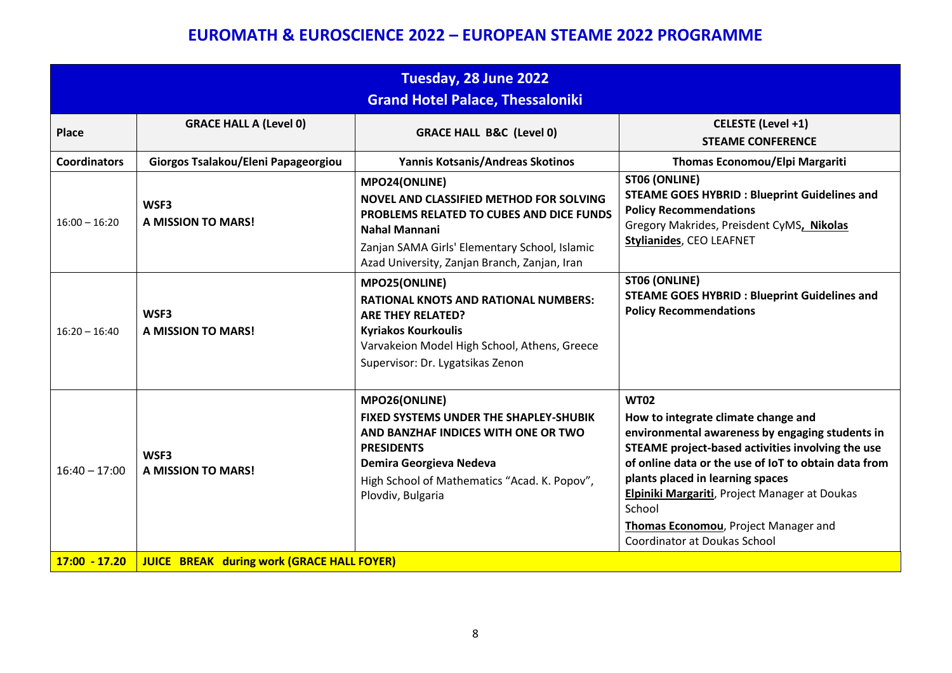| Tuesday, 28 June 2022<br><b>Grand Hotel Palace, Thessaloniki</b> |                                                   |                                                                                                                                                                                                                               |                                                                                                                                                                                                                                                                                                                                                                                                  |
|------------------------------------------------------------------|---------------------------------------------------|-------------------------------------------------------------------------------------------------------------------------------------------------------------------------------------------------------------------------------|--------------------------------------------------------------------------------------------------------------------------------------------------------------------------------------------------------------------------------------------------------------------------------------------------------------------------------------------------------------------------------------------------|
| <b>Place</b>                                                     | <b>GRACE HALL A (Level 0)</b>                     | <b>GRACE HALL B&amp;C (Level 0)</b>                                                                                                                                                                                           | <b>CELESTE (Level +1)</b><br><b>STEAME CONFERENCE</b>                                                                                                                                                                                                                                                                                                                                            |
| <b>Coordinators</b>                                              | Giorgos Tsalakou/Eleni Papageorgiou               | Yannis Kotsanis/Andreas Skotinos                                                                                                                                                                                              | <b>Thomas Economou/Elpi Margariti</b>                                                                                                                                                                                                                                                                                                                                                            |
| $16:00 - 16:20$                                                  | WSF3<br>A MISSION TO MARS!                        | MPO24(ONLINE)<br><b>NOVEL AND CLASSIFIED METHOD FOR SOLVING</b><br>PROBLEMS RELATED TO CUBES AND DICE FUNDS<br>Nahal Mannani<br>Zanjan SAMA Girls' Elementary School, Islamic<br>Azad University, Zanjan Branch, Zanjan, Iran | ST06 (ONLINE)<br><b>STEAME GOES HYBRID : Blueprint Guidelines and</b><br><b>Policy Recommendations</b><br>Gregory Makrides, Preisdent CyMS, Nikolas<br>Stylianides, CEO LEAFNET                                                                                                                                                                                                                  |
| $16:20 - 16:40$                                                  | WSF3<br>A MISSION TO MARS!                        | MPO25(ONLINE)<br><b>RATIONAL KNOTS AND RATIONAL NUMBERS:</b><br><b>ARE THEY RELATED?</b><br><b>Kyriakos Kourkoulis</b><br>Varvakeion Model High School, Athens, Greece<br>Supervisor: Dr. Lygatsikas Zenon                    | <b>ST06 (ONLINE)</b><br><b>STEAME GOES HYBRID: Blueprint Guidelines and</b><br><b>Policy Recommendations</b>                                                                                                                                                                                                                                                                                     |
| $16:40 - 17:00$                                                  | WSF3<br><b>A MISSION TO MARS!</b>                 | MPO26(ONLINE)<br><b>FIXED SYSTEMS UNDER THE SHAPLEY-SHUBIK</b><br>AND BANZHAF INDICES WITH ONE OR TWO<br><b>PRESIDENTS</b><br>Demira Georgieva Nedeva<br>High School of Mathematics "Acad. K. Popov",<br>Plovdiv, Bulgaria    | <b>WT02</b><br>How to integrate climate change and<br>environmental awareness by engaging students in<br>STEAME project-based activities involving the use<br>of online data or the use of IoT to obtain data from<br>plants placed in learning spaces<br>Elpiniki Margariti, Project Manager at Doukas<br>School<br>Thomas Economou, Project Manager and<br><b>Coordinator at Doukas School</b> |
| $17:00 - 17.20$                                                  | <b>JUICE BREAK during work (GRACE HALL FOYER)</b> |                                                                                                                                                                                                                               |                                                                                                                                                                                                                                                                                                                                                                                                  |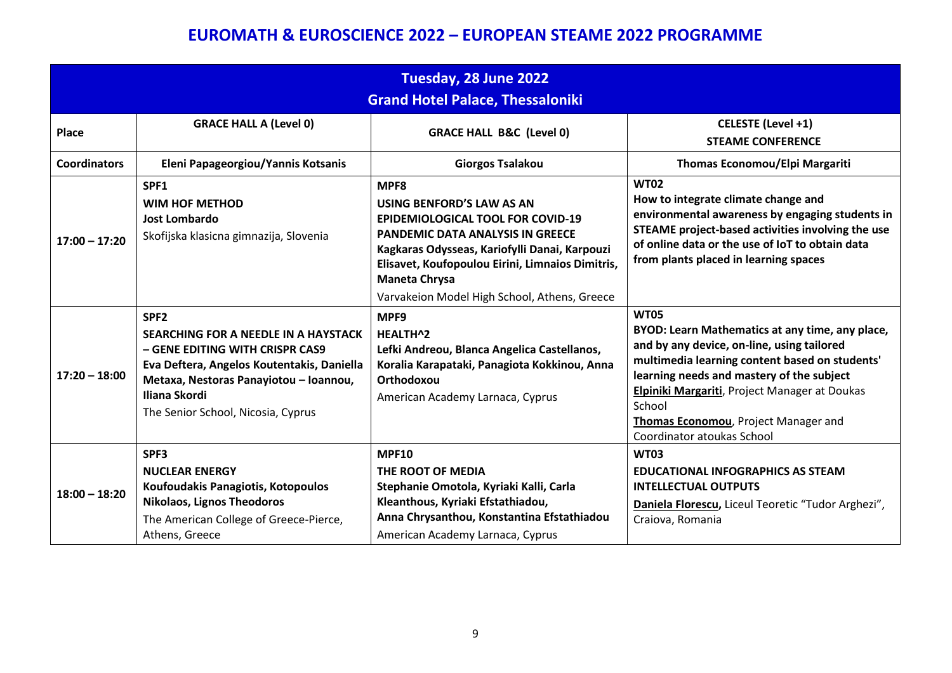| Tuesday, 28 June 2022<br><b>Grand Hotel Palace, Thessaloniki</b> |                                                                                                                                                                                                                                                   |                                                                                                                                                                                                                                                                                                |                                                                                                                                                                                                                                                                                                                                              |
|------------------------------------------------------------------|---------------------------------------------------------------------------------------------------------------------------------------------------------------------------------------------------------------------------------------------------|------------------------------------------------------------------------------------------------------------------------------------------------------------------------------------------------------------------------------------------------------------------------------------------------|----------------------------------------------------------------------------------------------------------------------------------------------------------------------------------------------------------------------------------------------------------------------------------------------------------------------------------------------|
| Place                                                            | <b>GRACE HALL A (Level 0)</b>                                                                                                                                                                                                                     | <b>GRACE HALL B&amp;C (Level 0)</b>                                                                                                                                                                                                                                                            | <b>CELESTE (Level +1)</b><br><b>STEAME CONFERENCE</b>                                                                                                                                                                                                                                                                                        |
| <b>Coordinators</b>                                              | Eleni Papageorgiou/Yannis Kotsanis                                                                                                                                                                                                                | <b>Giorgos Tsalakou</b>                                                                                                                                                                                                                                                                        | Thomas Economou/Elpi Margariti                                                                                                                                                                                                                                                                                                               |
| $17:00 - 17:20$                                                  | SPF1<br><b>WIM HOF METHOD</b><br><b>Jost Lombardo</b><br>Skofijska klasicna gimnazija, Slovenia                                                                                                                                                   | MPF8<br>USING BENFORD'S LAW AS AN<br><b>EPIDEMIOLOGICAL TOOL FOR COVID-19</b><br>PANDEMIC DATA ANALYSIS IN GREECE<br>Kagkaras Odysseas, Kariofylli Danai, Karpouzi<br>Elisavet, Koufopoulou Eirini, Limnaios Dimitris,<br><b>Maneta Chrysa</b><br>Varvakeion Model High School, Athens, Greece | <b>WT02</b><br>How to integrate climate change and<br>environmental awareness by engaging students in<br>STEAME project-based activities involving the use<br>of online data or the use of IoT to obtain data<br>from plants placed in learning spaces                                                                                       |
| $17:20 - 18:00$                                                  | SPF <sub>2</sub><br><b>SEARCHING FOR A NEEDLE IN A HAYSTACK</b><br>- GENE EDITING WITH CRISPR CAS9<br>Eva Deftera, Angelos Koutentakis, Daniella<br>Metaxa, Nestoras Panayiotou - Ioannou,<br>Iliana Skordi<br>The Senior School, Nicosia, Cyprus | MPF9<br>HEALTH^2<br>Lefki Andreou, Blanca Angelica Castellanos,<br>Koralia Karapataki, Panagiota Kokkinou, Anna<br>Orthodoxou<br>American Academy Larnaca, Cyprus                                                                                                                              | <b>WT05</b><br>BYOD: Learn Mathematics at any time, any place,<br>and by any device, on-line, using tailored<br>multimedia learning content based on students'<br>learning needs and mastery of the subject<br>Elpiniki Margariti, Project Manager at Doukas<br>School<br>Thomas Economou, Project Manager and<br>Coordinator atoukas School |
| $18:00 - 18:20$                                                  | SPF3<br><b>NUCLEAR ENERGY</b><br>Koufoudakis Panagiotis, Kotopoulos<br><b>Nikolaos, Lignos Theodoros</b><br>The American College of Greece-Pierce,<br>Athens, Greece                                                                              | <b>MPF10</b><br>THE ROOT OF MEDIA<br>Stephanie Omotola, Kyriaki Kalli, Carla<br>Kleanthous, Kyriaki Efstathiadou,<br>Anna Chrysanthou, Konstantina Efstathiadou<br>American Academy Larnaca, Cyprus                                                                                            | <b>WT03</b><br><b>EDUCATIONAL INFOGRAPHICS AS STEAM</b><br><b>INTELLECTUAL OUTPUTS</b><br>Daniela Florescu, Liceul Teoretic "Tudor Arghezi",<br>Craiova, Romania                                                                                                                                                                             |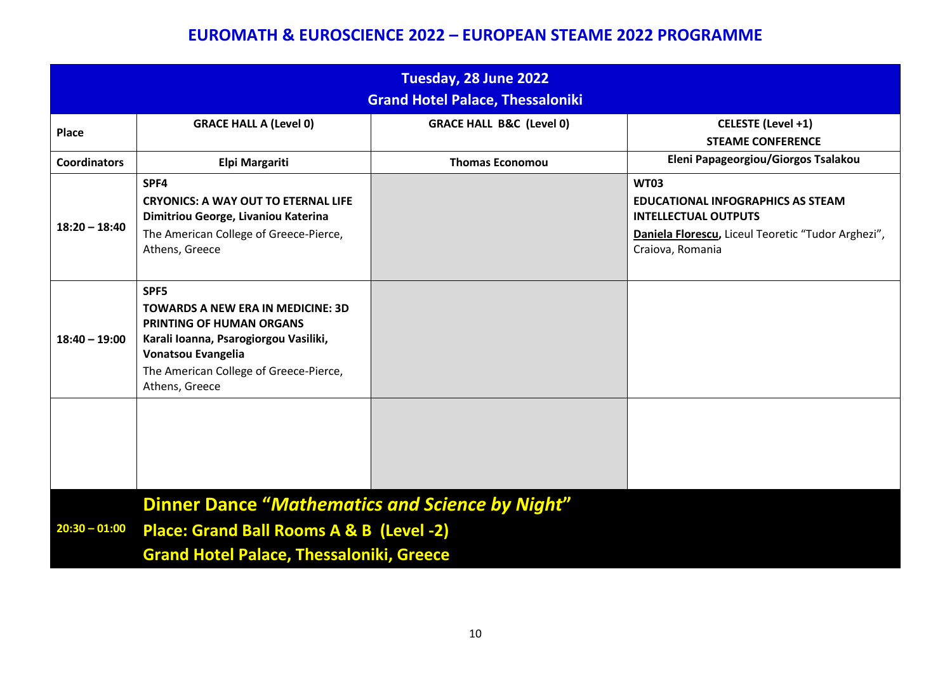| Tuesday, 28 June 2022<br><b>Grand Hotel Palace, Thessaloniki</b> |                                                                                                                                                                                                                |                                     |                                                                                                                                                                  |
|------------------------------------------------------------------|----------------------------------------------------------------------------------------------------------------------------------------------------------------------------------------------------------------|-------------------------------------|------------------------------------------------------------------------------------------------------------------------------------------------------------------|
| Place                                                            | <b>GRACE HALL A (Level 0)</b>                                                                                                                                                                                  | <b>GRACE HALL B&amp;C (Level 0)</b> | <b>CELESTE (Level +1)</b><br><b>STEAME CONFERENCE</b>                                                                                                            |
| <b>Coordinators</b>                                              | <b>Elpi Margariti</b>                                                                                                                                                                                          | <b>Thomas Economou</b>              | Eleni Papageorgiou/Giorgos Tsalakou                                                                                                                              |
| $18:20 - 18:40$                                                  | SPF4<br><b>CRYONICS: A WAY OUT TO ETERNAL LIFE</b><br>Dimitriou George, Livaniou Katerina<br>The American College of Greece-Pierce,<br>Athens, Greece                                                          |                                     | <b>WT03</b><br><b>EDUCATIONAL INFOGRAPHICS AS STEAM</b><br><b>INTELLECTUAL OUTPUTS</b><br>Daniela Florescu, Liceul Teoretic "Tudor Arghezi",<br>Craiova, Romania |
| $18:40 - 19:00$                                                  | SPF5<br><b>TOWARDS A NEW ERA IN MEDICINE: 3D</b><br>PRINTING OF HUMAN ORGANS<br>Karali Ioanna, Psarogiorgou Vasiliki,<br><b>Vonatsou Evangelia</b><br>The American College of Greece-Pierce,<br>Athens, Greece |                                     |                                                                                                                                                                  |
|                                                                  |                                                                                                                                                                                                                |                                     |                                                                                                                                                                  |
| $20:30 - 01:00$                                                  | <b>Dinner Dance "Mathematics and Science by Night"</b><br>Place: Grand Ball Rooms A & B (Level -2)<br><b>Grand Hotel Palace, Thessaloniki, Greece</b>                                                          |                                     |                                                                                                                                                                  |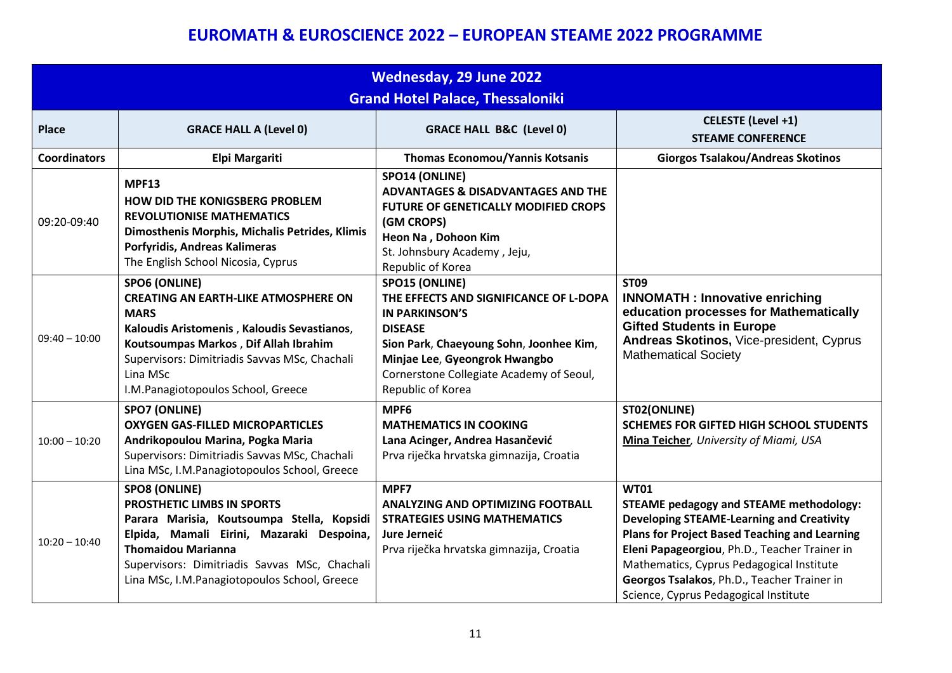| Wednesday, 29 June 2022<br><b>Grand Hotel Palace, Thessaloniki</b> |                                                                                                                                                                                                                                                                               |                                                                                                                                                                                                                                                         |                                                                                                                                                                                                                                                                                                                                                                 |
|--------------------------------------------------------------------|-------------------------------------------------------------------------------------------------------------------------------------------------------------------------------------------------------------------------------------------------------------------------------|---------------------------------------------------------------------------------------------------------------------------------------------------------------------------------------------------------------------------------------------------------|-----------------------------------------------------------------------------------------------------------------------------------------------------------------------------------------------------------------------------------------------------------------------------------------------------------------------------------------------------------------|
| <b>Place</b>                                                       | <b>GRACE HALL A (Level 0)</b>                                                                                                                                                                                                                                                 | <b>GRACE HALL B&amp;C (Level 0)</b>                                                                                                                                                                                                                     | <b>CELESTE (Level +1)</b><br><b>STEAME CONFERENCE</b>                                                                                                                                                                                                                                                                                                           |
| <b>Coordinators</b>                                                | <b>Elpi Margariti</b>                                                                                                                                                                                                                                                         | <b>Thomas Economou/Yannis Kotsanis</b>                                                                                                                                                                                                                  | <b>Giorgos Tsalakou/Andreas Skotinos</b>                                                                                                                                                                                                                                                                                                                        |
| 09:20-09:40                                                        | <b>MPF13</b><br><b>HOW DID THE KONIGSBERG PROBLEM</b><br><b>REVOLUTIONISE MATHEMATICS</b><br>Dimosthenis Morphis, Michalis Petrides, Klimis<br>Porfyridis, Andreas Kalimeras<br>The English School Nicosia, Cyprus                                                            | SPO14 (ONLINE)<br><b>ADVANTAGES &amp; DISADVANTAGES AND THE</b><br>FUTURE OF GENETICALLY MODIFIED CROPS<br>(GM CROPS)<br>Heon Na, Dohoon Kim<br>St. Johnsbury Academy, Jeju,<br>Republic of Korea                                                       |                                                                                                                                                                                                                                                                                                                                                                 |
| $09:40 - 10:00$                                                    | <b>SPO6 (ONLINE)</b><br><b>CREATING AN EARTH-LIKE ATMOSPHERE ON</b><br><b>MARS</b><br>Kaloudis Aristomenis, Kaloudis Sevastianos,<br>Koutsoumpas Markos, Dif Allah Ibrahim<br>Supervisors: Dimitriadis Savvas MSc, Chachali<br>Lina MSc<br>I.M.Panagiotopoulos School, Greece | <b>SPO15 (ONLINE)</b><br>THE EFFECTS AND SIGNIFICANCE OF L-DOPA<br><b>IN PARKINSON'S</b><br><b>DISEASE</b><br>Sion Park, Chaeyoung Sohn, Joonhee Kim,<br>Minjae Lee, Gyeongrok Hwangbo<br>Cornerstone Collegiate Academy of Seoul,<br>Republic of Korea | <b>ST09</b><br><b>INNOMATH : Innovative enriching</b><br>education processes for Mathematically<br><b>Gifted Students in Europe</b><br>Andreas Skotinos, Vice-president, Cyprus<br><b>Mathematical Society</b>                                                                                                                                                  |
| $10:00 - 10:20$                                                    | <b>SPO7 (ONLINE)</b><br><b>OXYGEN GAS-FILLED MICROPARTICLES</b><br>Andrikopoulou Marina, Pogka Maria<br>Supervisors: Dimitriadis Savvas MSc, Chachali<br>Lina MSc, I.M. Panagiotopoulos School, Greece                                                                        | MPF6<br><b>MATHEMATICS IN COOKING</b><br>Lana Acinger, Andrea Hasančević<br>Prva riječka hrvatska gimnazija, Croatia                                                                                                                                    | ST02(ONLINE)<br><b>SCHEMES FOR GIFTED HIGH SCHOOL STUDENTS</b><br>Mina Teicher, University of Miami, USA                                                                                                                                                                                                                                                        |
| $10:20 - 10:40$                                                    | <b>SPO8 (ONLINE)</b><br>PROSTHETIC LIMBS IN SPORTS<br>Parara Marisia, Koutsoumpa Stella, Kopsidi<br>Elpida, Mamali Eirini, Mazaraki Despoina,<br><b>Thomaidou Marianna</b><br>Supervisors: Dimitriadis Savvas MSc, Chachali<br>Lina MSc, I.M.Panagiotopoulos School, Greece   | MPF7<br><b>ANALYZING AND OPTIMIZING FOOTBALL</b><br><b>STRATEGIES USING MATHEMATICS</b><br>Jure Jerneić<br>Prva riječka hrvatska gimnazija, Croatia                                                                                                     | <b>WT01</b><br><b>STEAME pedagogy and STEAME methodology:</b><br><b>Developing STEAME-Learning and Creativity</b><br><b>Plans for Project Based Teaching and Learning</b><br>Eleni Papageorgiou, Ph.D., Teacher Trainer in<br>Mathematics, Cyprus Pedagogical Institute<br>Georgos Tsalakos, Ph.D., Teacher Trainer in<br>Science, Cyprus Pedagogical Institute |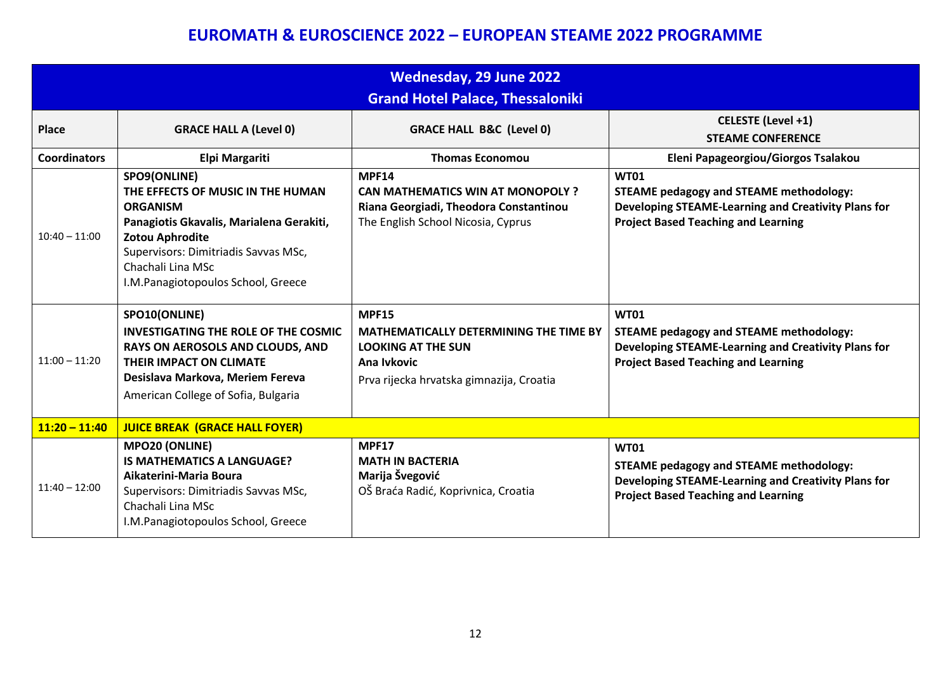|                     | Wednesday, 29 June 2022<br><b>Grand Hotel Palace, Thessaloniki</b>                                                                                                                                                                            |                                                                                                                                                       |                                                                                                                                                                           |  |
|---------------------|-----------------------------------------------------------------------------------------------------------------------------------------------------------------------------------------------------------------------------------------------|-------------------------------------------------------------------------------------------------------------------------------------------------------|---------------------------------------------------------------------------------------------------------------------------------------------------------------------------|--|
| <b>Place</b>        | <b>GRACE HALL A (Level 0)</b>                                                                                                                                                                                                                 | <b>GRACE HALL B&amp;C (Level 0)</b>                                                                                                                   | <b>CELESTE (Level +1)</b><br><b>STEAME CONFERENCE</b>                                                                                                                     |  |
| <b>Coordinators</b> | <b>Elpi Margariti</b>                                                                                                                                                                                                                         | <b>Thomas Economou</b>                                                                                                                                | Eleni Papageorgiou/Giorgos Tsalakou                                                                                                                                       |  |
| $10:40 - 11:00$     | SPO9(ONLINE)<br>THE EFFECTS OF MUSIC IN THE HUMAN<br><b>ORGANISM</b><br>Panagiotis Gkavalis, Marialena Gerakiti,<br><b>Zotou Aphrodite</b><br>Supervisors: Dimitriadis Savvas MSc,<br>Chachali Lina MSc<br>I.M.Panagiotopoulos School, Greece | <b>MPF14</b><br><b>CAN MATHEMATICS WIN AT MONOPOLY?</b><br>Riana Georgiadi, Theodora Constantinou<br>The English School Nicosia, Cyprus               | <b>WT01</b><br><b>STEAME pedagogy and STEAME methodology:</b><br>Developing STEAME-Learning and Creativity Plans for<br><b>Project Based Teaching and Learning</b>        |  |
| $11:00 - 11:20$     | SPO10(ONLINE)<br>INVESTIGATING THE ROLE OF THE COSMIC<br>RAYS ON AEROSOLS AND CLOUDS, AND<br>THEIR IMPACT ON CLIMATE<br>Desislava Markova, Meriem Fereva<br>American College of Sofia, Bulgaria                                               | <b>MPF15</b><br><b>MATHEMATICALLY DETERMINING THE TIME BY</b><br><b>LOOKING AT THE SUN</b><br>Ana Ivkovic<br>Prva rijecka hrvatska gimnazija, Croatia | <b>WT01</b><br><b>STEAME pedagogy and STEAME methodology:</b><br><b>Developing STEAME-Learning and Creativity Plans for</b><br><b>Project Based Teaching and Learning</b> |  |
| $11:20 - 11:40$     | <b>JUICE BREAK (GRACE HALL FOYER)</b>                                                                                                                                                                                                         |                                                                                                                                                       |                                                                                                                                                                           |  |
| $11:40 - 12:00$     | <b>MPO20 (ONLINE)</b><br><b>IS MATHEMATICS A LANGUAGE?</b><br>Aikaterini-Maria Boura<br>Supervisors: Dimitriadis Savvas MSc,<br>Chachali Lina MSc<br>I.M.Panagiotopoulos School, Greece                                                       | <b>MPF17</b><br><b>MATH IN BACTERIA</b><br>Marija Švegović<br>OŠ Braća Radić, Koprivnica, Croatia                                                     | <b>WT01</b><br><b>STEAME pedagogy and STEAME methodology:</b><br>Developing STEAME-Learning and Creativity Plans for<br><b>Project Based Teaching and Learning</b>        |  |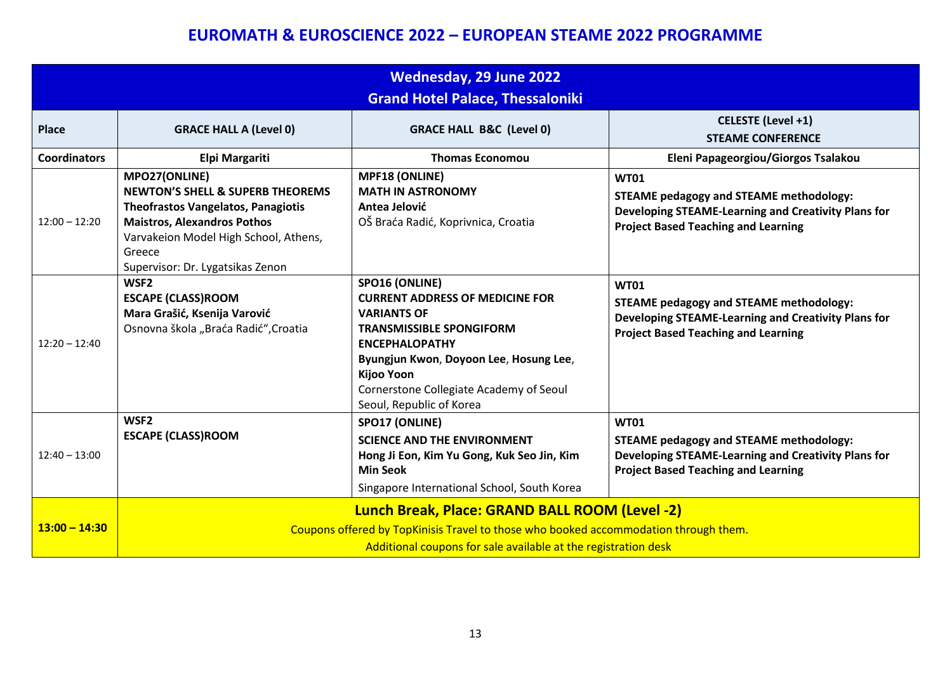| Wednesday, 29 June 2022<br><b>Grand Hotel Palace, Thessaloniki</b> |                                                                                                                                                                                                                                        |                                                                                                                                                                                                                                                                                  |                                                                                                                                                                           |
|--------------------------------------------------------------------|----------------------------------------------------------------------------------------------------------------------------------------------------------------------------------------------------------------------------------------|----------------------------------------------------------------------------------------------------------------------------------------------------------------------------------------------------------------------------------------------------------------------------------|---------------------------------------------------------------------------------------------------------------------------------------------------------------------------|
| <b>Place</b>                                                       | <b>GRACE HALL A (Level 0)</b>                                                                                                                                                                                                          | <b>GRACE HALL B&amp;C (Level 0)</b>                                                                                                                                                                                                                                              | <b>CELESTE (Level +1)</b><br><b>STEAME CONFERENCE</b>                                                                                                                     |
| <b>Coordinators</b>                                                | <b>Elpi Margariti</b>                                                                                                                                                                                                                  | <b>Thomas Economou</b>                                                                                                                                                                                                                                                           | Eleni Papageorgiou/Giorgos Tsalakou                                                                                                                                       |
| $12:00 - 12:20$                                                    | MPO27(ONLINE)<br><b>NEWTON'S SHELL &amp; SUPERB THEOREMS</b><br><b>Theofrastos Vangelatos, Panagiotis</b><br><b>Maistros, Alexandros Pothos</b><br>Varvakeion Model High School, Athens,<br>Greece<br>Supervisor: Dr. Lygatsikas Zenon | <b>MPF18 (ONLINE)</b><br><b>MATH IN ASTRONOMY</b><br>Antea Jelović<br>OŠ Braća Radić, Koprivnica, Croatia                                                                                                                                                                        | <b>WT01</b><br><b>STEAME pedagogy and STEAME methodology:</b><br>Developing STEAME-Learning and Creativity Plans for<br><b>Project Based Teaching and Learning</b>        |
| $12:20 - 12:40$                                                    | WSF2<br><b>ESCAPE (CLASS)ROOM</b><br>Mara Grašić, Ksenija Varović<br>Osnovna škola "Braća Radić", Croatia                                                                                                                              | <b>SPO16 (ONLINE)</b><br><b>CURRENT ADDRESS OF MEDICINE FOR</b><br><b>VARIANTS OF</b><br><b>TRANSMISSIBLE SPONGIFORM</b><br><b>ENCEPHALOPATHY</b><br>Byungjun Kwon, Doyoon Lee, Hosung Lee,<br>Kijoo Yoon<br>Cornerstone Collegiate Academy of Seoul<br>Seoul, Republic of Korea | <b>WT01</b><br><b>STEAME pedagogy and STEAME methodology:</b><br><b>Developing STEAME-Learning and Creativity Plans for</b><br><b>Project Based Teaching and Learning</b> |
| $12:40 - 13:00$                                                    | WSF <sub>2</sub><br><b>ESCAPE (CLASS)ROOM</b>                                                                                                                                                                                          | <b>SPO17 (ONLINE)</b><br><b>SCIENCE AND THE ENVIRONMENT</b><br>Hong Ji Eon, Kim Yu Gong, Kuk Seo Jin, Kim<br><b>Min Seok</b><br>Singapore International School, South Korea                                                                                                      | <b>WT01</b><br><b>STEAME pedagogy and STEAME methodology:</b><br><b>Developing STEAME-Learning and Creativity Plans for</b><br><b>Project Based Teaching and Learning</b> |
| $13:00 - 14:30$                                                    |                                                                                                                                                                                                                                        | Lunch Break, Place: GRAND BALL ROOM (Level -2)<br>Coupons offered by TopKinisis Travel to those who booked accommodation through them.<br>Additional coupons for sale available at the registration desk                                                                         |                                                                                                                                                                           |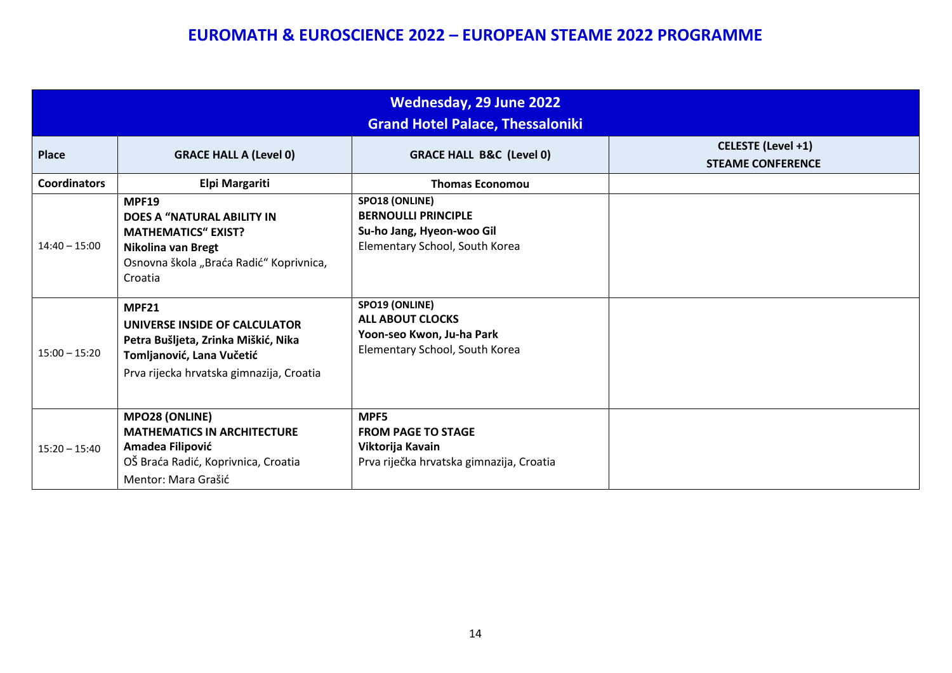|                     | <b>Wednesday, 29 June 2022</b><br><b>Grand Hotel Palace, Thessaloniki</b>                                                                                     |                                                                                                                    |                                                       |  |
|---------------------|---------------------------------------------------------------------------------------------------------------------------------------------------------------|--------------------------------------------------------------------------------------------------------------------|-------------------------------------------------------|--|
| <b>Place</b>        | <b>GRACE HALL A (Level 0)</b>                                                                                                                                 | <b>GRACE HALL B&amp;C (Level 0)</b>                                                                                | <b>CELESTE (Level +1)</b><br><b>STEAME CONFERENCE</b> |  |
| <b>Coordinators</b> | <b>Elpi Margariti</b>                                                                                                                                         | <b>Thomas Economou</b>                                                                                             |                                                       |  |
| $14:40 - 15:00$     | <b>MPF19</b><br><b>DOES A "NATURAL ABILITY IN</b><br><b>MATHEMATICS" EXIST?</b><br>Nikolina van Bregt<br>Osnovna škola "Braća Radić" Koprivnica,<br>Croatia   | <b>SPO18 (ONLINE)</b><br><b>BERNOULLI PRINCIPLE</b><br>Su-ho Jang, Hyeon-woo Gil<br>Elementary School, South Korea |                                                       |  |
| $15:00 - 15:20$     | <b>MPF21</b><br>UNIVERSE INSIDE OF CALCULATOR<br>Petra Bušljeta, Zrinka Miškić, Nika<br>Tomljanović, Lana Vučetić<br>Prva rijecka hrvatska gimnazija, Croatia | SPO19 (ONLINE)<br><b>ALL ABOUT CLOCKS</b><br>Yoon-seo Kwon, Ju-ha Park<br>Elementary School, South Korea           |                                                       |  |
| $15:20 - 15:40$     | <b>MPO28 (ONLINE)</b><br><b>MATHEMATICS IN ARCHITECTURE</b><br>Amadea Filipović<br>OŠ Braća Radić, Koprivnica, Croatia<br>Mentor: Mara Grašić                 | MPF5<br><b>FROM PAGE TO STAGE</b><br>Viktorija Kavain<br>Prva riječka hrvatska gimnazija, Croatia                  |                                                       |  |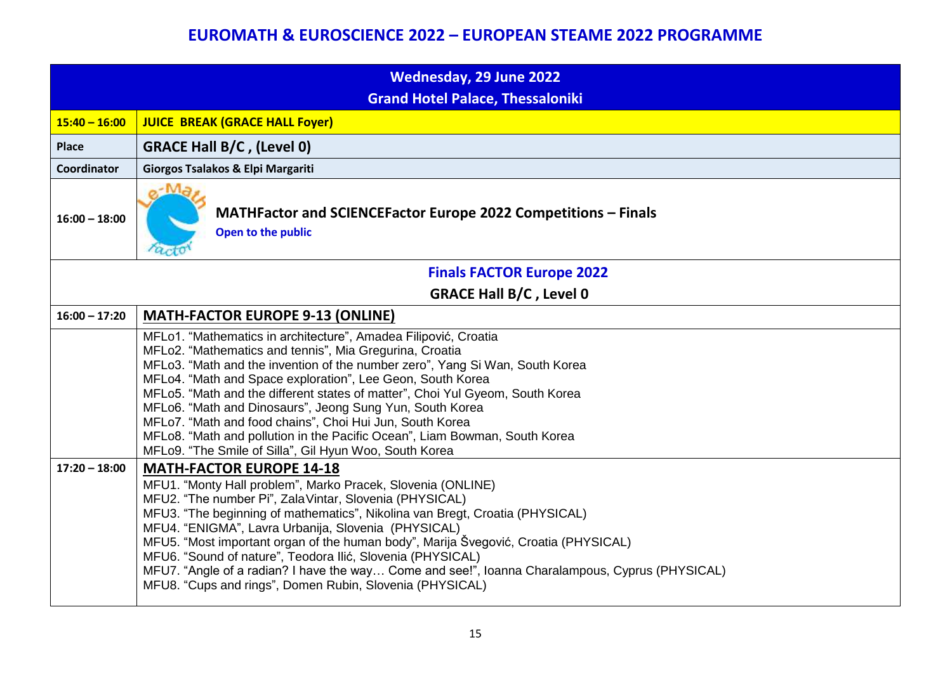| Wednesday, 29 June 2022 |                                                                                                                                                                                                                                                                                                                                                                                                                                                                                                                                                                                                                           |  |
|-------------------------|---------------------------------------------------------------------------------------------------------------------------------------------------------------------------------------------------------------------------------------------------------------------------------------------------------------------------------------------------------------------------------------------------------------------------------------------------------------------------------------------------------------------------------------------------------------------------------------------------------------------------|--|
|                         | <b>Grand Hotel Palace, Thessaloniki</b>                                                                                                                                                                                                                                                                                                                                                                                                                                                                                                                                                                                   |  |
| $15:40 - 16:00$         | <b>JUICE BREAK (GRACE HALL Foyer)</b>                                                                                                                                                                                                                                                                                                                                                                                                                                                                                                                                                                                     |  |
| <b>Place</b>            | <b>GRACE Hall B/C, (Level 0)</b>                                                                                                                                                                                                                                                                                                                                                                                                                                                                                                                                                                                          |  |
| Coordinator             | Giorgos Tsalakos & Elpi Margariti                                                                                                                                                                                                                                                                                                                                                                                                                                                                                                                                                                                         |  |
| $16:00 - 18:00$         | $\sim$ Ma<br>MATHFactor and SCIENCEFactor Europe 2022 Competitions - Finals<br>Open to the public                                                                                                                                                                                                                                                                                                                                                                                                                                                                                                                         |  |
|                         | <b>Finals FACTOR Europe 2022</b>                                                                                                                                                                                                                                                                                                                                                                                                                                                                                                                                                                                          |  |
|                         | <b>GRACE Hall B/C, Level 0</b>                                                                                                                                                                                                                                                                                                                                                                                                                                                                                                                                                                                            |  |
| $16:00 - 17:20$         | <b>MATH-FACTOR EUROPE 9-13 (ONLINE)</b>                                                                                                                                                                                                                                                                                                                                                                                                                                                                                                                                                                                   |  |
|                         | MFLo1. "Mathematics in architecture", Amadea Filipović, Croatia<br>MFLo2. "Mathematics and tennis", Mia Gregurina, Croatia<br>MFLo3. "Math and the invention of the number zero", Yang Si Wan, South Korea<br>MFLo4. "Math and Space exploration", Lee Geon, South Korea<br>MFLo5. "Math and the different states of matter", Choi Yul Gyeom, South Korea<br>MFLo6. "Math and Dinosaurs", Jeong Sung Yun, South Korea<br>MFLo7. "Math and food chains", Choi Hui Jun, South Korea<br>MFLo8. "Math and pollution in the Pacific Ocean", Liam Bowman, South Korea<br>MFLo9. "The Smile of Silla", Gil Hyun Woo, South Korea |  |
| $17:20 - 18:00$         | <b>MATH-FACTOR EUROPE 14-18</b><br>MFU1. "Monty Hall problem", Marko Pracek, Slovenia (ONLINE)<br>MFU2. "The number Pi", Zala Vintar, Slovenia (PHYSICAL)<br>MFU3. "The beginning of mathematics", Nikolina van Bregt, Croatia (PHYSICAL)<br>MFU4. "ENIGMA", Lavra Urbanija, Slovenia (PHYSICAL)<br>MFU5. "Most important organ of the human body", Marija Švegović, Croatia (PHYSICAL)<br>MFU6. "Sound of nature", Teodora Ilić, Slovenia (PHYSICAL)<br>MFU7. "Angle of a radian? I have the way Come and see!", Ioanna Charalampous, Cyprus (PHYSICAL)<br>MFU8. "Cups and rings", Domen Rubin, Slovenia (PHYSICAL)      |  |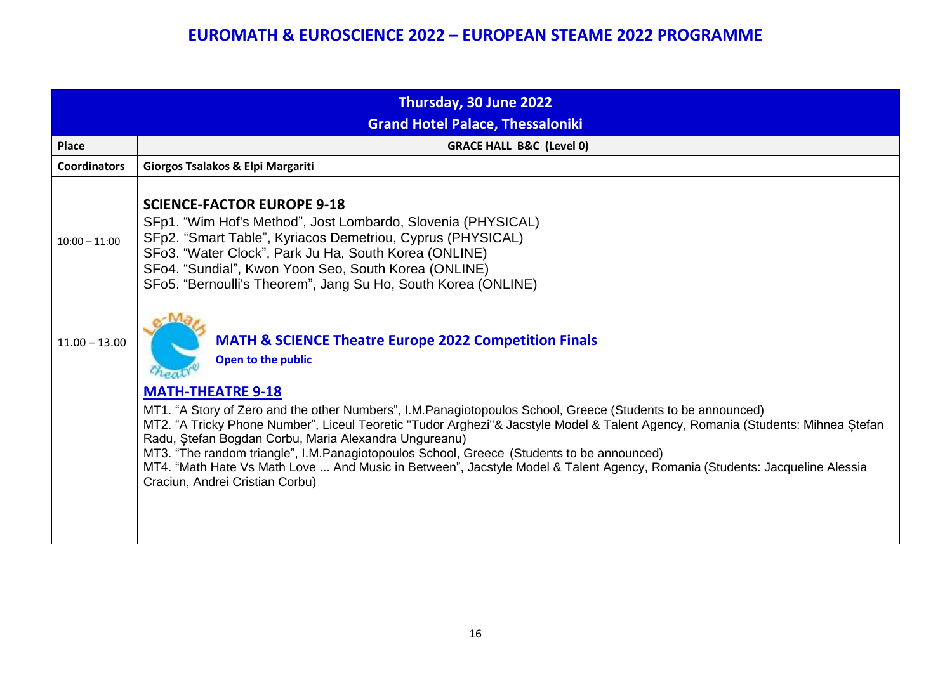| Thursday, 30 June 2022<br><b>Grand Hotel Palace, Thessaloniki</b> |                                                                                                                                                                                                                                                                                                                                                                                                                                                                                                                                                                                                    |  |  |  |
|-------------------------------------------------------------------|----------------------------------------------------------------------------------------------------------------------------------------------------------------------------------------------------------------------------------------------------------------------------------------------------------------------------------------------------------------------------------------------------------------------------------------------------------------------------------------------------------------------------------------------------------------------------------------------------|--|--|--|
| Place                                                             | <b>GRACE HALL B&amp;C (Level 0)</b>                                                                                                                                                                                                                                                                                                                                                                                                                                                                                                                                                                |  |  |  |
| <b>Coordinators</b>                                               | Giorgos Tsalakos & Elpi Margariti                                                                                                                                                                                                                                                                                                                                                                                                                                                                                                                                                                  |  |  |  |
| $10:00 - 11:00$                                                   | <b>SCIENCE-FACTOR EUROPE 9-18</b><br>SFp1. "Wim Hof's Method", Jost Lombardo, Slovenia (PHYSICAL)<br>SFp2. "Smart Table", Kyriacos Demetriou, Cyprus (PHYSICAL)<br>SFo3. "Water Clock", Park Ju Ha, South Korea (ONLINE)<br>SFo4. "Sundial", Kwon Yoon Seo, South Korea (ONLINE)<br>SFo5. "Bernoulli's Theorem", Jang Su Ho, South Korea (ONLINE)                                                                                                                                                                                                                                                  |  |  |  |
| $11.00 - 13.00$                                                   | <b>MATH &amp; SCIENCE Theatre Europe 2022 Competition Finals</b><br>Open to the public                                                                                                                                                                                                                                                                                                                                                                                                                                                                                                             |  |  |  |
|                                                                   | <b>MATH-THEATRE 9-18</b><br>MT1. "A Story of Zero and the other Numbers", I.M. Panagiotopoulos School, Greece (Students to be announced)<br>MT2. "A Tricky Phone Number", Liceul Teoretic "Tudor Arghezi"& Jacstyle Model & Talent Agency, Romania (Students: Mihnea Stefan<br>Radu, Ștefan Bogdan Corbu, Maria Alexandra Ungureanu)<br>MT3. "The random triangle", I.M.Panagiotopoulos School, Greece (Students to be announced)<br>MT4. "Math Hate Vs Math Love  And Music in Between", Jacstyle Model & Talent Agency, Romania (Students: Jacqueline Alessia<br>Craciun, Andrei Cristian Corbu) |  |  |  |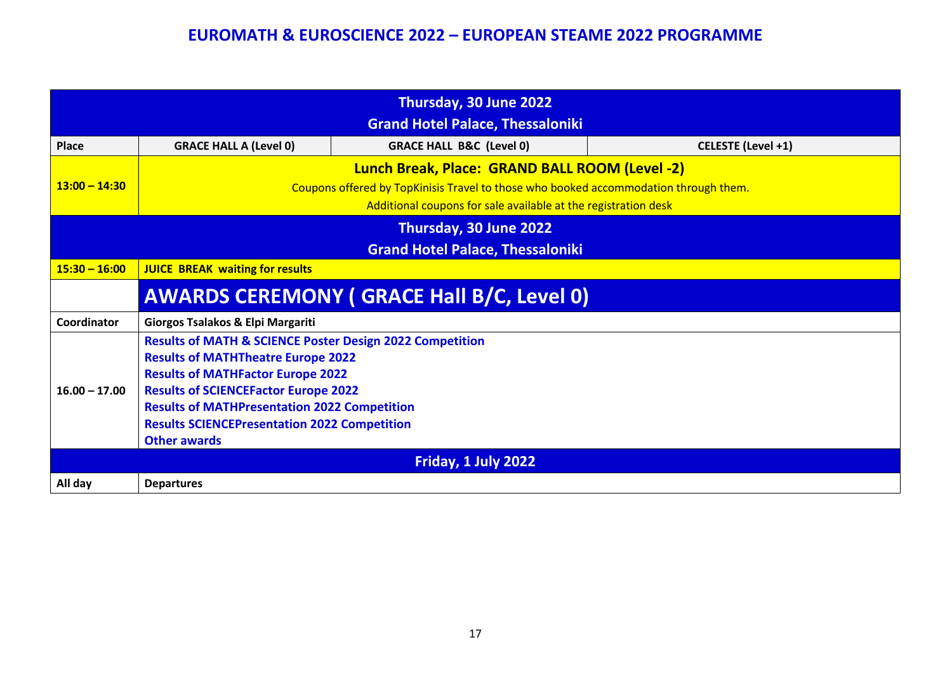| Thursday, 30 June 2022                  |                                                                                      |                                     |                           |  |
|-----------------------------------------|--------------------------------------------------------------------------------------|-------------------------------------|---------------------------|--|
| <b>Grand Hotel Palace, Thessaloniki</b> |                                                                                      |                                     |                           |  |
| <b>Place</b>                            | <b>GRACE HALL A (Level 0)</b>                                                        | <b>GRACE HALL B&amp;C (Level 0)</b> | <b>CELESTE (Level +1)</b> |  |
| $13:00 - 14:30$                         | Lunch Break, Place: GRAND BALL ROOM (Level -2)                                       |                                     |                           |  |
|                                         | Coupons offered by TopKinisis Travel to those who booked accommodation through them. |                                     |                           |  |
|                                         | Additional coupons for sale available at the registration desk                       |                                     |                           |  |
| Thursday, 30 June 2022                  |                                                                                      |                                     |                           |  |
| <b>Grand Hotel Palace, Thessaloniki</b> |                                                                                      |                                     |                           |  |
| $15:30 - 16:00$                         | <b>JUICE BREAK waiting for results</b>                                               |                                     |                           |  |
|                                         | <b>AWARDS CEREMONY (GRACE Hall B/C, Level 0)</b>                                     |                                     |                           |  |
| Coordinator                             | Giorgos Tsalakos & Elpi Margariti                                                    |                                     |                           |  |
| $16.00 - 17.00$                         | <b>Results of MATH &amp; SCIENCE Poster Design 2022 Competition</b>                  |                                     |                           |  |
|                                         | <b>Results of MATHTheatre Europe 2022</b>                                            |                                     |                           |  |
|                                         | <b>Results of MATHFactor Europe 2022</b>                                             |                                     |                           |  |
|                                         | <b>Results of SCIENCEFactor Europe 2022</b>                                          |                                     |                           |  |
|                                         | <b>Results of MATHPresentation 2022 Competition</b>                                  |                                     |                           |  |
|                                         | <b>Results SCIENCEPresentation 2022 Competition</b>                                  |                                     |                           |  |
| <b>Other awards</b>                     |                                                                                      |                                     |                           |  |
| Friday, 1 July 2022                     |                                                                                      |                                     |                           |  |
| All day                                 | <b>Departures</b>                                                                    |                                     |                           |  |